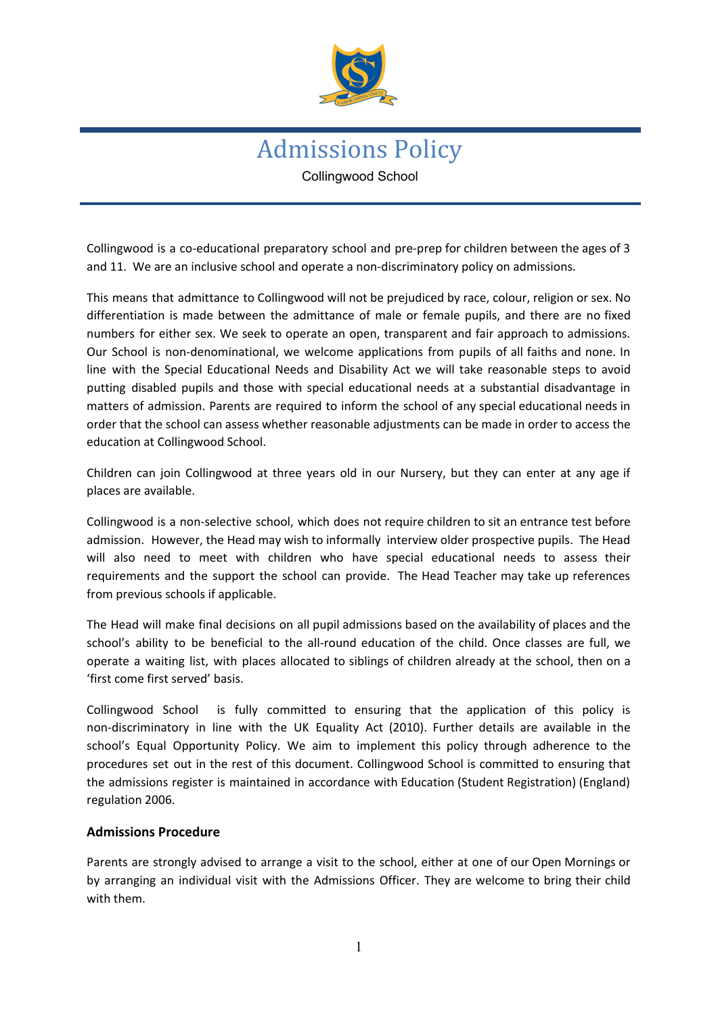

# Admissions Policy Collingwood School

Collingwood is a co-educational preparatory school and pre-prep for children between the ages of 3 and 11. We are an inclusive school and operate a non-discriminatory policy on admissions.

This means that admittance to Collingwood will not be prejudiced by race, colour, religion or sex. No differentiation is made between the admittance of male or female pupils, and there are no fixed numbers for either sex. We seek to operate an open, transparent and fair approach to admissions. Our School is non-denominational, we welcome applications from pupils of all faiths and none. In line with the Special Educational Needs and Disability Act we will take reasonable steps to avoid putting disabled pupils and those with special educational needs at a substantial disadvantage in matters of admission. Parents are required to inform the school of any special educational needs in order that the school can assess whether reasonable adjustments can be made in order to access the education at Collingwood School.

Children can join Collingwood at three years old in our Nursery, but they can enter at any age if places are available.

Collingwood is a non-selective school, which does not require children to sit an entrance test before admission. However, the Head may wish to informally interview older prospective pupils. The Head will also need to meet with children who have special educational needs to assess their requirements and the support the school can provide. The Head Teacher may take up references from previous schools if applicable.

The Head will make final decisions on all pupil admissions based on the availability of places and the school's ability to be beneficial to the all-round education of the child. Once classes are full, we operate a waiting list, with places allocated to siblings of children already at the school, then on a 'first come first served' basis.

Collingwood School is fully committed to ensuring that the application of this policy is non-discriminatory in line with the UK Equality Act (2010). Further details are available in the school's Equal Opportunity Policy. We aim to implement this policy through adherence to the procedures set out in the rest of this document. Collingwood School is committed to ensuring that the admissions register is maintained in accordance with Education (Student Registration) (England) regulation 2006.

#### **Admissions Procedure**

Parents are strongly advised to arrange a visit to the school, either at one of our Open Mornings or by arranging an individual visit with the Admissions Officer. They are welcome to bring their child with them.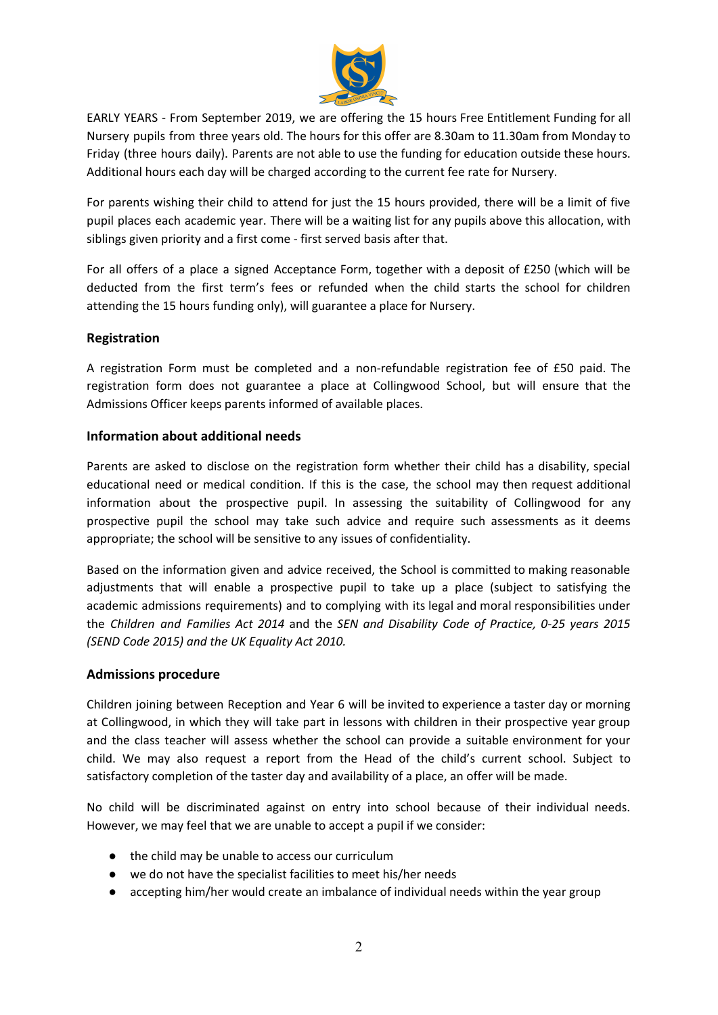

EARLY YEARS - From September 2019, we are offering the 15 hours Free Entitlement Funding for all Nursery pupils from three years old. The hours for this offer are 8.30am to 11.30am from Monday to Friday (three hours daily). Parents are not able to use the funding for education outside these hours. Additional hours each day will be charged according to the current fee rate for Nursery.

For parents wishing their child to attend for just the 15 hours provided, there will be a limit of five pupil places each academic year. There will be a waiting list for any pupils above this allocation, with siblings given priority and a first come - first served basis after that.

For all offers of a place a signed Acceptance Form, together with a deposit of £250 (which will be deducted from the first term's fees or refunded when the child starts the school for children attending the 15 hours funding only), will guarantee a place for Nursery.

### **Registration**

A registration Form must be completed and a non-refundable registration fee of £50 paid. The registration form does not guarantee a place at Collingwood School, but will ensure that the Admissions Officer keeps parents informed of available places.

#### **Information about additional needs**

Parents are asked to disclose on the registration form whether their child has a disability, special educational need or medical condition. If this is the case, the school may then request additional information about the prospective pupil. In assessing the suitability of Collingwood for any prospective pupil the school may take such advice and require such assessments as it deems appropriate; the school will be sensitive to any issues of confidentiality.

Based on the information given and advice received, the School is committed to making reasonable adjustments that will enable a prospective pupil to take up a place (subject to satisfying the academic admissions requirements) and to complying with its legal and moral responsibilities under the *Children and Families Act 2014* and the *SEN and Disability Code of Practice, 0-25 years 2015 (SEND Code 2015) and the UK Equality Act 2010.*

#### **Admissions procedure**

Children joining between Reception and Year 6 will be invited to experience a taster day or morning at Collingwood, in which they will take part in lessons with children in their prospective year group and the class teacher will assess whether the school can provide a suitable environment for your child. We may also request a report from the Head of the child's current school. Subject to satisfactory completion of the taster day and availability of a place, an offer will be made.

No child will be discriminated against on entry into school because of their individual needs. However, we may feel that we are unable to accept a pupil if we consider:

- the child may be unable to access our curriculum
- we do not have the specialist facilities to meet his/her needs
- accepting him/her would create an imbalance of individual needs within the year group